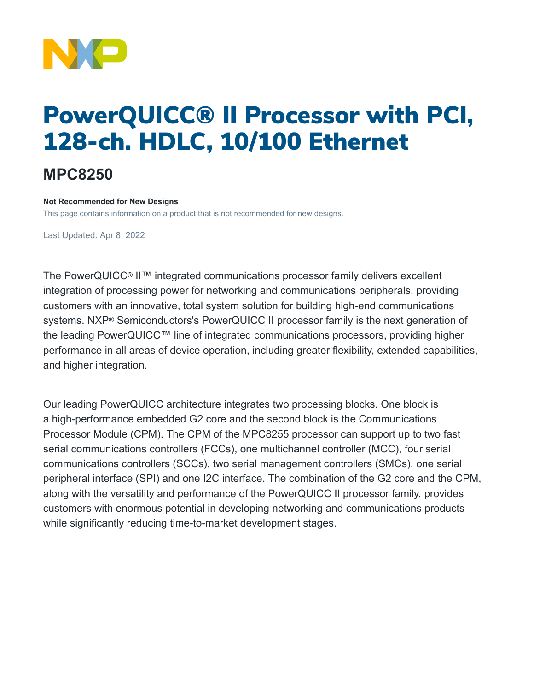

# PowerQUICC® II Processor with PCI, 128-ch. HDLC, 10/100 Ethernet

## **MPC8250**

#### **Not Recommended for New Designs**

This page contains information on a product that is not recommended for new designs.

Last Updated: Apr 8, 2022

The PowerQUICC® II™ integrated communications processor family delivers excellent integration of processing power for networking and communications peripherals, providing customers with an innovative, total system solution for building high-end communications systems. NXP® Semiconductors's PowerQUICC II processor family is the next generation of the leading PowerQUICC™ line of integrated communications processors, providing higher performance in all areas of device operation, including greater flexibility, extended capabilities, and higher integration.

Our leading PowerQUICC architecture integrates two processing blocks. One block is a high-performance embedded G2 core and the second block is the Communications Processor Module (CPM). The CPM of the MPC8255 processor can support up to two fast serial communications controllers (FCCs), one multichannel controller (MCC), four serial communications controllers (SCCs), two serial management controllers (SMCs), one serial peripheral interface (SPI) and one I2C interface. The combination of the G2 core and the CPM, along with the versatility and performance of the PowerQUICC II processor family, provides customers with enormous potential in developing networking and communications products while significantly reducing time-to-market development stages.